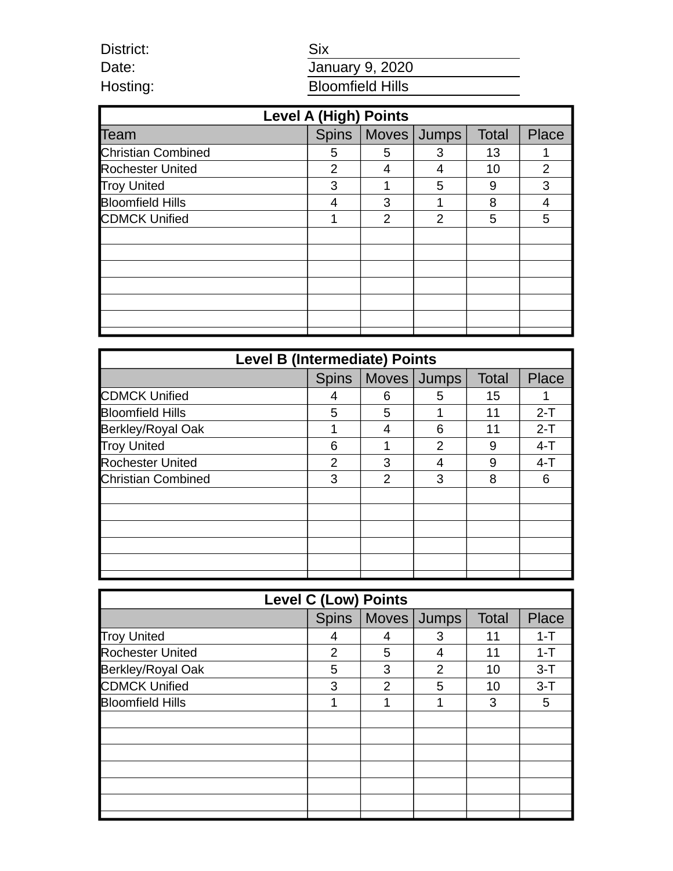| <b>Six</b>              |
|-------------------------|
| January 9, 2020         |
| <b>Bloomfield Hills</b> |
|                         |

District: Date: Hosting:

| <b>Level A (High) Points</b> |   |                       |   |              |              |  |
|------------------------------|---|-----------------------|---|--------------|--------------|--|
| Team                         |   | Spins   Moves   Jumps |   | <b>Total</b> | <b>Place</b> |  |
| <b>Christian Combined</b>    | 5 | 5                     | 3 | 13           |              |  |
| <b>Rochester United</b>      | 2 | 4                     | 4 | 10           | 2            |  |
| <b>Troy United</b>           | 3 |                       | 5 | 9            | 3            |  |
| <b>Bloomfield Hills</b>      | 4 | 3                     |   | 8            | 4            |  |
| <b>CDMCK Unified</b>         |   | $\overline{2}$        | 2 | 5            | 5            |  |
|                              |   |                       |   |              |              |  |
|                              |   |                       |   |              |              |  |
|                              |   |                       |   |              |              |  |
|                              |   |                       |   |              |              |  |
|                              |   |                       |   |              |              |  |
|                              |   |                       |   |              |              |  |
|                              |   |                       |   |              |              |  |

| <b>Level B (Intermediate) Points</b> |              |   |             |              |         |
|--------------------------------------|--------------|---|-------------|--------------|---------|
|                                      | <b>Spins</b> |   | Moves Jumps | <b>Total</b> | Place   |
| <b>CDMCK Unified</b>                 | 4            | 6 | 5           | 15           |         |
| <b>Bloomfield Hills</b>              | 5            | 5 |             | 11           | $2-T$   |
| Berkley/Royal Oak                    | 1            | 4 | 6           | 11           | $2-T$   |
| <b>Troy United</b>                   | 6            |   | 2           | 9            | $4 - T$ |
| <b>Rochester United</b>              | 2            | 3 | 4           | 9            | $4 - T$ |
| <b>Christian Combined</b>            | 3            | 2 | 3           | 8            | 6       |
|                                      |              |   |             |              |         |
|                                      |              |   |             |              |         |
|                                      |              |   |             |              |         |
|                                      |              |   |             |              |         |
|                                      |              |   |             |              |         |
|                                      |              |   |             |              |         |

| <b>Level C (Low) Points</b> |              |                |               |              |              |
|-----------------------------|--------------|----------------|---------------|--------------|--------------|
|                             | <b>Spins</b> | Moves Jumps    |               | <b>Total</b> | <b>Place</b> |
| <b>Troy United</b>          | 4            | 4              | 3             | 11           | $1 - T$      |
| Rochester United            | 2            | 5              | 4             | 11           | $1 - T$      |
| Berkley/Royal Oak           | 5            | 3              | $\mathcal{P}$ | 10           | $3 - T$      |
| <b>CDMCK Unified</b>        | 3            | $\overline{2}$ | 5             | 10           | $3 - T$      |
| <b>Bloomfield Hills</b>     | 1            | 1              | 1             | 3            | 5            |
|                             |              |                |               |              |              |
|                             |              |                |               |              |              |
|                             |              |                |               |              |              |
|                             |              |                |               |              |              |
|                             |              |                |               |              |              |
|                             |              |                |               |              |              |
|                             |              |                |               |              |              |